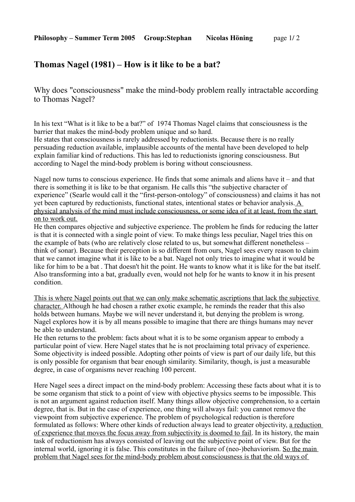## **Thomas Nagel (1981) – How is it like to be a bat?**

Why does "consciousness" make the mind-body problem really intractable according to Thomas Nagel?

In his text "What is it like to be a bat?" of 1974 Thomas Nagel claims that consciousness is the barrier that makes the mind-body problem unique and so hard.

He states that consciousness is rarely addressed by reductionists. Because there is no really persuading reduction available, implausible accounts of the mental have been developed to help explain familiar kind of reductions. This has led to reductionists ignoring consciousness. But according to Nagel the mind-body problem is boring without consciousness.

Nagel now turns to conscious experience. He finds that some animals and aliens have it – and that there is something it is like to be that organism. He calls this "the subjective character of experience" (Searle would call it the "first-person-ontology" of consciousness) and claims it has not yet been captured by reductionists, functional states, intentional states or behavior analysis. A physical analysis of the mind must include consciousness, or some idea of it at least, from the start on to work out.

He then compares objective and subjective experience. The problem he finds for reducing the latter is that it is connected with a single point of view. To make things less peculiar, Nagel tries this on the example of bats (who are relatively close related to us, but somewhat different nonetheless – think of sonar). Because their perception is so different from ours, Nagel sees every reason to claim that we cannot imagine what it is like to be a bat. Nagel not only tries to imagine what it would be like for him to be a bat . That doesn't hit the point. He wants to know what it is like for the bat itself. Also transforming into a bat, gradually even, would not help for he wants to know it in his present condition.

This is where Nagel points out that we can only make schematic ascriptions that lack the subjective character. Although he had chosen a rather exotic example, he reminds the reader that this also holds between humans. Maybe we will never understand it, but denying the problem is wrong. Nagel explores how it is by all means possible to imagine that there are things humans may never be able to understand.

He then returns to the problem: facts about what it is to be some organism appear to embody a particular point of view. Here Nagel states that he is not proclaiming total privacy of experience. Some objectivity is indeed possible. Adopting other points of view is part of our daily life, but this is only possible for organism that bear enough similarity. Similarity, though, is just a measurable degree, in case of organisms never reaching 100 percent.

Here Nagel sees a direct impact on the mind-body problem: Accessing these facts about what it is to be some organism that stick to a point of view with objective physics seems to be impossible. This is not an argument against reduction itself. Many things allow objective comprehension, to a certain degree, that is. But in the case of experience, one thing will always fail: you cannot remove the viewpoint from subjective experience. The problem of psychological reduction is therefore formulated as follows: Where other kinds of reduction always lead to greater objectivity, a reduction of experience that moves the focus away from subjectivity is doomed to fail. In its history, the main task of reductionism has always consisted of leaving out the subjective point of view. But for the internal world, ignoring it is false. This constitutes in the failure of (neo-)behaviorism. So the main problem that Nagel sees for the mind-body problem about consciousness is that the old ways of